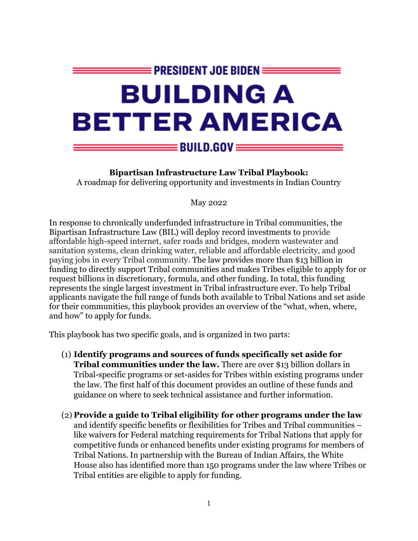

**Bipartisan Infrastructure Law Tribal Playbook:**

A roadmap for delivering opportunity and investments in Indian Country

May 2022

In response to chronically underfunded infrastructure in Tribal communities, the Bipartisan Infrastructure Law (BIL) will deploy record investments to provide affordable high-speed internet, safer roads and bridges, modern wastewater and sanitation systems, clean drinking water, reliable and affordable electricity, and good paying jobs in every Tribal community. The law provides more than \$13 billion in funding to directly support Tribal communities and makes Tribes eligible to apply for or request billions in discretionary, formula, and other funding. In total, this funding represents the single largest investment in Tribal infrastructure ever. To help Tribal applicants navigate the full range of funds both available to Tribal Nations and set aside for their communities, this playbook provides an overview of the "what, when, where, and how" to apply for funds.

This playbook has two specific goals, and is organized in two parts:

- (1) **Identify programs and sources of funds specifically set aside for Tribal communities under the law.** There are over \$13 billion dollars in Tribal-specific programs or set-asides for Tribes within existing programs under the law. The first half of this document provides an outline of these funds and guidance on where to seek technical assistance and further information.
- (2) **Provide a guide to Tribal eligibility for other programs under the law**  and identify specific benefits or flexibilities for Tribes and Tribal communities – like waivers for Federal matching requirements for Tribal Nations that apply for competitive funds or enhanced benefits under existing programs for members of Tribal Nations. In partnership with the Bureau of Indian Affairs, the White House also has identified more than 150 programs under the law where Tribes or Tribal entities are eligible to apply for funding.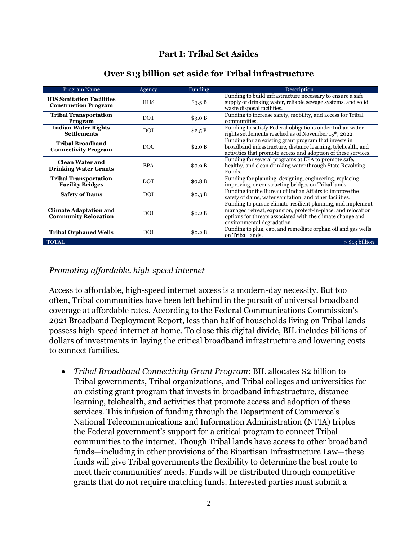### **Part I: Tribal Set Asides**

| Program Name                                                    | Agency     | Funding | Description                                                                                                                                                                                                            |
|-----------------------------------------------------------------|------------|---------|------------------------------------------------------------------------------------------------------------------------------------------------------------------------------------------------------------------------|
| <b>IHS Sanitation Facilities</b><br><b>Construction Program</b> | <b>HHS</b> | \$3.5 B | Funding to build infrastructure necessary to ensure a safe<br>supply of drinking water, reliable sewage systems, and solid<br>waste disposal facilities.                                                               |
| <b>Tribal Transportation</b><br>Program                         | <b>DOT</b> | \$3.0 B | Funding to increase safety, mobility, and access for Tribal<br>communities.                                                                                                                                            |
| <b>Indian Water Rights</b><br><b>Settlements</b>                | <b>DOI</b> | \$2.5 B | Funding to satisfy Federal obligations under Indian water<br>rights settlements reached as of November 15 <sup>th</sup> , 2022.                                                                                        |
| <b>Tribal Broadband</b><br><b>Connectivity Program</b>          | <b>DOC</b> | \$2.0 B | Funding for an existing grant program that invests in<br>broadband infrastructure, distance learning, telehealth, and<br>activities that promote access and adoption of these services.                                |
| <b>Clean Water and</b><br><b>Drinking Water Grants</b>          | <b>EPA</b> | \$0.9 B | Funding for several programs at EPA to promote safe,<br>healthy, and clean drinking water through State Revolving<br>Funds.                                                                                            |
| <b>Tribal Transportation</b><br><b>Facility Bridges</b>         | <b>DOT</b> | \$0.8 B | Funding for planning, designing, engineering, replacing,<br>improving, or constructing bridges on Tribal lands.                                                                                                        |
| <b>Safety of Dams</b>                                           | <b>DOI</b> | \$0.3 B | Funding for the Bureau of Indian Affairs to improve the<br>safety of dams, water sanitation, and other facilities.                                                                                                     |
| <b>Climate Adaptation and</b><br><b>Community Relocation</b>    | <b>DOI</b> | \$0.2 B | Funding to pursue climate-resilient planning, and implement<br>managed retreat, expansion, protect-in-place, and relocation<br>options for threats associated with the climate change and<br>environmental degradation |
| <b>Tribal Orphaned Wells</b>                                    | <b>DOI</b> | \$0.2 B | Funding to plug, cap, and remediate orphan oil and gas wells<br>on Tribal lands.                                                                                                                                       |
| <b>TOTAL</b>                                                    |            |         | > \$13 billion                                                                                                                                                                                                         |

#### **Over \$13 billion set aside for Tribal infrastructure**

#### *Promoting affordable, high-speed internet*

Access to affordable, high-speed internet access is a modern-day necessity. But too often, Tribal communities have been left behind in the pursuit of universal broadband coverage at affordable rates. According to the Federal Communications Commission's 2021 Broadband Deployment Report, less than half of households living on Tribal lands possess high-speed internet at home. To close this digital divide, BIL includes billions of dollars of investments in laying the critical broadband infrastructure and lowering costs to connect families.

• *Tribal Broadband Connectivity Grant Program*: BIL allocates \$2 billion to Tribal governments, Tribal organizations, and Tribal colleges and universities for an existing grant program that invests in broadband infrastructure, distance learning, telehealth, and activities that promote access and adoption of these services. This infusion of funding through the Department of Commerce's National Telecommunications and Information Administration (NTIA) triples the Federal government's support for a critical program to connect Tribal communities to the internet. Though Tribal lands have access to other broadband funds—including in other provisions of the Bipartisan Infrastructure Law—these funds will give Tribal governments the flexibility to determine the best route to meet their communities' needs. Funds will be distributed through competitive grants that do not require matching funds. Interested parties must submit a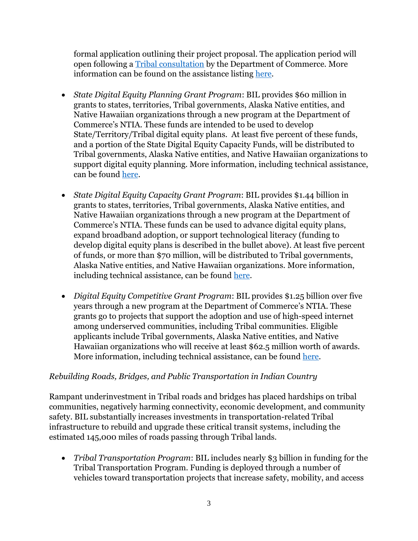formal application outlining their project proposal. The application period will open following a [Tribal consultation](https://highways.dot.gov/federal-lands/programs/significant) by the Department of Commerce. More information can be found on the assistance listing [here.](https://broadbandusa.ntia.doc.gov/resources/grant-programs/tribal-broadband-connectivity-program)

- *State Digital Equity Planning Grant Program*: BIL provides \$60 million in grants to states, territories, Tribal governments, Alaska Native entities, and Native Hawaiian organizations through a new program at the Department of Commerce's NTIA. These funds are intended to be used to develop State/Territory/Tribal digital equity plans. At least five percent of these funds, and a portion of the State Digital Equity Capacity Funds, will be distributed to Tribal governments, Alaska Native entities, and Native Hawaiian organizations to support digital equity planning. More information, including technical assistance, can be found [here.](https://broadbandusa.ntia.doc.gov/digital-equity-programs)
- *State Digital Equity Capacity Grant Program*: BIL provides \$1.44 billion in grants to states, territories, Tribal governments, Alaska Native entities, and Native Hawaiian organizations through a new program at the Department of Commerce's NTIA. These funds can be used to advance digital equity plans, expand broadband adoption, or support technological literacy (funding to develop digital equity plans is described in the bullet above). At least five percent of funds, or more than \$70 million, will be distributed to Tribal governments, Alaska Native entities, and Native Hawaiian organizations. More information, including technical assistance, can be found [here.](https://broadbandusa.ntia.doc.gov/digital-equity-programs)
- *Digital Equity Competitive Grant Program*: BIL provides \$1.25 billion over five years through a new program at the Department of Commerce's NTIA. These grants go to projects that support the adoption and use of high-speed internet among underserved communities, including Tribal communities. Eligible applicants include Tribal governments, Alaska Native entities, and Native Hawaiian organizations who will receive at least \$62.5 million worth of awards. More information, including technical assistance, can be found [here.](https://broadbandusa.ntia.doc.gov/digital-equity-programs)

### *Rebuilding Roads, Bridges, and Public Transportation in Indian Country*

Rampant underinvestment in Tribal roads and bridges has placed hardships on tribal communities, negatively harming connectivity, economic development, and community safety. BIL substantially increases investments in transportation-related Tribal infrastructure to rebuild and upgrade these critical transit systems, including the estimated 145,000 miles of roads passing through Tribal lands.

• *Tribal Transportation Program*: BIL includes nearly \$3 billion in funding for the Tribal Transportation Program. Funding is deployed through a number of vehicles toward transportation projects that increase safety, mobility, and access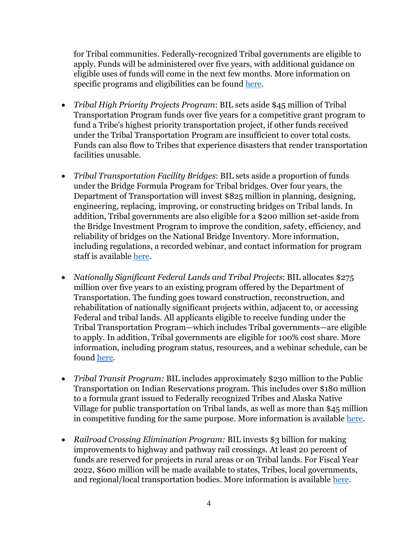for Tribal communities. Federally-recognized Tribal governments are eligible to apply. Funds will be administered over five years, with additional guidance on eligible uses of funds will come in the next few months. More information on specific programs and eligibilities can be found [here.](https://www.transportation.gov/grants/multimodal-project-discretionary-grant-notice-funding-opportunity)

- *Tribal High Priority Projects Program*: BIL sets aside \$45 million of Tribal Transportation Program funds over five years for a competitive grant program to fund a Tribe's highest priority transportation project, if other funds received under the Tribal Transportation Program are insufficient to cover total costs. Funds can also flow to Tribes that experience disasters that render transportation facilities unusable.
- *Tribal Transportation Facility Bridges*: BIL sets aside a proportion of funds under the Bridge Formula Program for Tribal bridges. Over four years, the Department of Transportation will invest \$825 million in planning, designing, engineering, replacing, improving, or constructing bridges on Tribal lands. In addition, Tribal governments are also eligible for a \$200 million set-aside from the Bridge Investment Program to improve the condition, safety, efficiency, and reliability of bridges on the National Bridge Inventory. More information, including regulations, a recorded webinar, and contact information for program staff is available [here.](https://highways.dot.gov/federal-lands/programs-tribal/bridge)
- *Nationally Significant Federal Lands and Tribal Projects*: BIL allocates \$275 million over five years to an existing program offered by the Department of Transportation. The funding goes toward construction, reconstruction, and rehabilitation of nationally significant projects within, adjacent to, or accessing Federal and tribal lands. All applicants eligible to receive funding under the Tribal Transportation Program—which includes Tribal governments—are eligible to apply. In addition, Tribal governments are eligible for 100% cost share. More information, including program status, resources, and a webinar schedule, can be found [here.](https://highways.dot.gov/federal-lands/programs/significant)
- *Tribal Transit Program:* BIL includes approximately \$230 million to the Public Transportation on Indian Reservations program. This includes over \$180 million to a formula grant issued to Federally recognized Tribes and Alaska Native Village for public transportation on Tribal lands, as well as more than \$45 million in competitive funding for the same purpose. More information is available [here.](https://www.transit.dot.gov/tribal-transit)
- *Railroad Crossing Elimination Program:* BIL invests \$3 billion for making improvements to highway and pathway rail crossings. At least 20 percent of funds are reserved for projects in rural areas or on Tribal lands. For Fiscal Year 2022, \$600 million will be made available to states, Tribes, local governments, and regional/local transportation bodies. More information is available [here.](https://railroads.dot.gov/elibrary/railroad-crossing-elimination-grant-program-fact-sheet)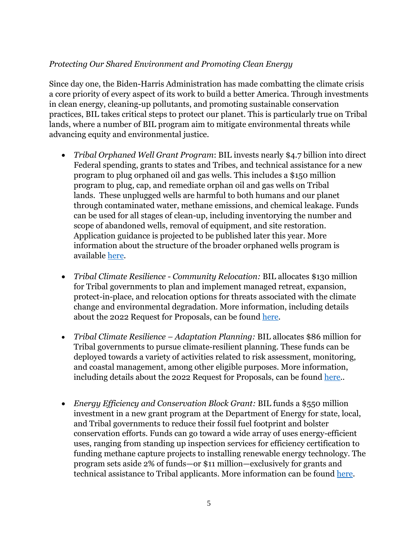## *Protecting Our Shared Environment and Promoting Clean Energy*

Since day one, the Biden-Harris Administration has made combatting the climate crisis a core priority of every aspect of its work to build a better America. Through investments in clean energy, cleaning-up pollutants, and promoting sustainable conservation practices, BIL takes critical steps to protect our planet. This is particularly true on Tribal lands, where a number of BIL program aim to mitigate environmental threats while advancing equity and environmental justice.

- *Tribal Orphaned Well Grant Program*: BIL invests nearly \$4.7 billion into direct Federal spending, grants to states and Tribes, and technical assistance for a new program to plug orphaned oil and gas wells. This includes a \$150 million program to plug, cap, and remediate orphan oil and gas wells on Tribal lands. These unplugged wells are harmful to both humans and our planet through contaminated water, methane emissions, and chemical leakage. Funds can be used for all stages of clean-up, including inventorying the number and scope of abandoned wells, removal of equipment, and site restoration. Application guidance is projected to be published later this year. More information about the structure of the broader orphaned wells program is available [here.](https://www.blm.gov/sites/blm.gov/files/docs/2022-01/IIJA%20federal%20program-%20orphaned%20wells%20webinar%20presentation_508%20compliance.pdf)
- *Tribal Climate Resilience - Community Relocation:* BIL allocates \$130 million for Tribal governments to plan and implement managed retreat, expansion, protect-in-place, and relocation options for threats associated with the climate change and environmental degradation. More information, including details about the 2022 Request for Proposals, can be found [here.](https://www.bia.gov/bia/ots/tribal-climate-resilience-program)
- *Tribal Climate Resilience – Adaptation Planning:* BIL allocates \$86 million for Tribal governments to pursue climate-resilient planning. These funds can be deployed towards a variety of activities related to risk assessment, monitoring, and coastal management, among other eligible purposes. More information, including details about the 2022 Request for Proposals, can be found [here.](https://www.bia.gov/bia/ots/tribal-climate-resilience-program).
- *Energy Efficiency and Conservation Block Grant:* BIL funds a \$550 million investment in a new grant program at the Department of Energy for state, local, and Tribal governments to reduce their fossil fuel footprint and bolster conservation efforts. Funds can go toward a wide array of uses energy-efficient uses, ranging from standing up inspection services for efficiency certification to funding methane capture projects to installing renewable energy technology. The program sets aside 2% of funds—or \$11 million—exclusively for grants and technical assistance to Tribal applicants. More information can be found [here.](https://www.energy.gov/eere/wipo/energy-efficiency-and-conservation-block-grant-program)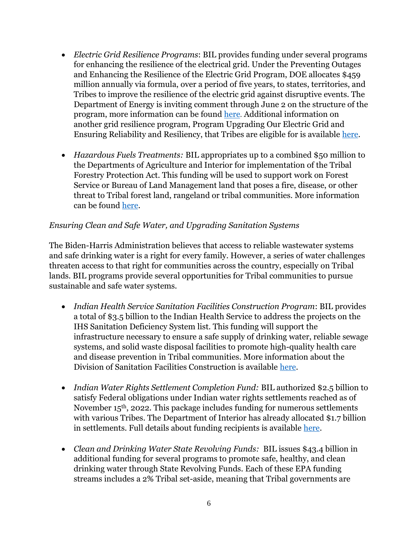- *Electric Grid Resilience Programs*: BIL provides funding under several programs for enhancing the resilience of the electrical grid. Under the Preventing Outages and Enhancing the Resilience of the Electric Grid Program, DOE allocates \$459 million annually via formula, over a period of five years, to states, territories, and Tribes to improve the resilience of the electric grid against disruptive events. The Department of Energy is inviting comment through June 2 on the structure of the program, more information can be found [here](https://netl.doe.gov/bilhub/grid-resilience/formula-grants). Additional information on another grid resilience program, Program Upgrading Our Electric Grid and Ensuring Reliability and Resiliency, that Tribes are eligible for is available [here.](https://www.energy.gov/bil/program-upgrading-our-electric-grid-and-ensuring-reliability-and-resiliency)
- *Hazardous Fuels Treatments:* BIL appropriates up to a combined \$50 million to the Departments of Agriculture and Interior for implementation of the Tribal Forestry Protection Act. This funding will be used to support work on Forest Service or Bureau of Land Management land that poses a fire, disease, or other threat to Tribal forest land, rangeland or tribal communities. More information can be found [here.](https://www.fs.fed.us/restoration/tribal-forest-protection-act/638-project-authority.shtml)

### *Ensuring Clean and Safe Water, and Upgrading Sanitation Systems*

The Biden-Harris Administration believes that access to reliable wastewater systems and safe drinking water is a right for every family. However, a series of water challenges threaten access to that right for communities across the country, especially on Tribal lands. BIL programs provide several opportunities for Tribal communities to pursue sustainable and safe water systems.

- *Indian Health Service Sanitation Facilities Construction Program*: BIL provides a total of \$3.5 billion to the Indian Health Service to address the projects on the IHS Sanitation Deficiency System list. This funding will support the infrastructure necessary to ensure a safe supply of drinking water, reliable sewage systems, and solid waste disposal facilities to promote high-quality health care and disease prevention in Tribal communities. More information about the Division of Sanitation Facilities Construction is available [here.](https://www.ihs.gov/dsfc/)
- *Indian Water Rights Settlement Completion Fund:* BIL authorized \$2.5 billion to satisfy Federal obligations under Indian water rights settlements reached as of November 15th, 2022. This package includes funding for numerous settlements with various Tribes. The Department of Interior has already allocated \$1.7 billion in settlements. Full details about funding recipients is available [here.](https://www.doi.gov/pressreleases/tribes-receive-17-billion-president-bidens-bipartisan-infrastructure-law-fulfill)
- *Clean and Drinking Water State Revolving Funds:* BIL issues \$43.4 billion in additional funding for several programs to promote safe, healthy, and clean drinking water through State Revolving Funds. Each of these EPA funding streams includes a 2% Tribal set-aside, meaning that Tribal governments are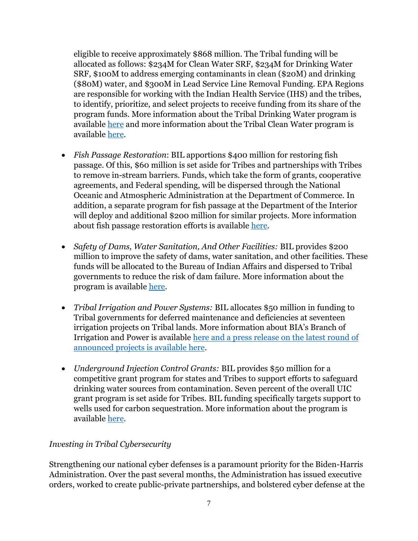eligible to receive approximately \$868 million. The Tribal funding will be allocated as follows: \$234M for Clean Water SRF, \$234M for Drinking Water SRF, \$100M to address emerging contaminants in clean (\$20M) and drinking (\$80M) water, and \$300M in Lead Service Line Removal Funding. EPA Regions are responsible for working with the Indian Health Service (IHS) and the tribes, to identify, prioritize, and select projects to receive funding from its share of the program funds. More information about the Tribal Drinking Water program is available [here](https://www.epa.gov/tribaldrinkingwater) and more information about the Tribal Clean Water program is available [here.](https://www.epa.gov/small-and-rural-wastewater-systems/clean-water-indian-set-aside-program)

- *Fish Passage Restoration*: BIL apportions \$400 million for restoring fish passage. Of this, \$60 million is set aside for Tribes and partnerships with Tribes to remove in-stream barriers. Funds, which take the form of grants, cooperative agreements, and Federal spending, will be dispersed through the National Oceanic and Atmospheric Administration at the Department of Commerce. In addition, a separate program for fish passage at the Department of the Interior will deploy and additional \$200 million for similar projects. More information about fish passage restoration efforts is available [here.](https://www.fisheries.noaa.gov/insight/successful-fish-passage-efforts-across-nation)
- *Safety of Dams, Water Sanitation, And Other Facilities:* BIL provides \$200 million to improve the safety of dams, water sanitation, and other facilities. These funds will be allocated to the Bureau of Indian Affairs and dispersed to Tribal governments to reduce the risk of dam failure. More information about the program is available [here.](https://www.bia.gov/bia/ots/dwp/safety-dams)
- *Tribal Irrigation and Power Systems:* BIL allocates \$50 million in funding to Tribal governments for deferred maintenance and deficiencies at seventeen irrigation projects on Tribal lands. More information about BIA's Branch of Irrigation and Power is available [here](https://www.bia.gov/bia/ots/dwp/irrigation-power) and a press release on the latest round of announced projects is available [here.](https://www.doi.gov/pressreleases/biden-harris-administration-announces-bipartisan-infrastructure-law-investments-dam)
- *Underground Injection Control Grants:* BIL provides \$50 million for a competitive grant program for states and Tribes to support efforts to safeguard drinking water sources from contamination. Seven percent of the overall UIC grant program is set aside for Tribes. BIL funding specifically targets support to wells used for carbon sequestration. More information about the program is available [here.](https://www.epa.gov/uic/underground-injection-control-grants)

### *Investing in Tribal Cybersecurity*

Strengthening our national cyber defenses is a paramount priority for the Biden-Harris Administration. Over the past several months, the Administration has issued executive orders, worked to create public-private partnerships, and bolstered cyber defense at the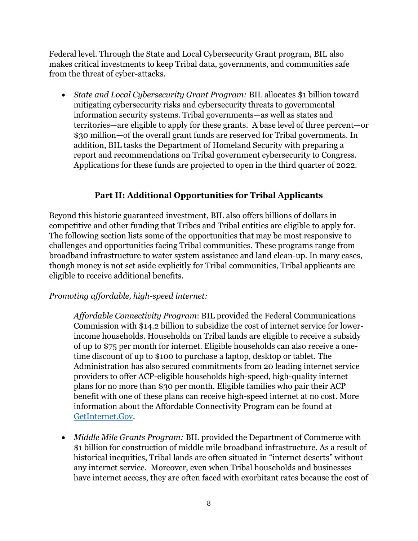Federal level. Through the State and Local Cybersecurity Grant program, BIL also makes critical investments to keep Tribal data, governments, and communities safe from the threat of cyber-attacks.

• *State and Local Cybersecurity Grant Program:* BIL allocates \$1 billion toward mitigating cybersecurity risks and cybersecurity threats to governmental information security systems. Tribal governments—as well as states and territories—are eligible to apply for these grants. A base level of three percent—or \$30 million—of the overall grant funds are reserved for Tribal governments. In addition, BIL tasks the Department of Homeland Security with preparing a report and recommendations on Tribal government cybersecurity to Congress. Applications for these funds are projected to open in the third quarter of 2022.

## **Part II: Additional Opportunities for Tribal Applicants**

Beyond this historic guaranteed investment, BIL also offers billions of dollars in competitive and other funding that Tribes and Tribal entities are eligible to apply for. The following section lists some of the opportunities that may be most responsive to challenges and opportunities facing Tribal communities. These programs range from broadband infrastructure to water system assistance and land clean-up. In many cases, though money is not set aside explicitly for Tribal communities, Tribal applicants are eligible to receive additional benefits.

### *Promoting affordable, high-speed internet:*

*Affordable Connectivity Program*: BIL provided the Federal Communications Commission with \$14.2 billion to subsidize the cost of internet service for lowerincome households. Households on Tribal lands are eligible to receive a subsidy of up to \$75 per month for internet. Eligible households can also receive a onetime discount of up to \$100 to purchase a laptop, desktop or tablet. The Administration has also secured commitments from 20 leading internet service providers to offer ACP-eligible households high-speed, high-quality internet plans for no more than \$30 per month. Eligible families who pair their ACP benefit with one of these plans can receive high-speed internet at no cost. More information about the Affordable Connectivity Program can be found at [GetInternet.Gov.](https://www.whitehouse.gov/getinternet/?utm_source=getinternet.gov)

• *Middle Mile Grants Program:* BIL provided the Department of Commerce with \$1 billion for construction of middle mile broadband infrastructure. As a result of historical inequities, Tribal lands are often situated in "internet deserts" without any internet service. Moreover, even when Tribal households and businesses have internet access, they are often faced with exorbitant rates because the cost of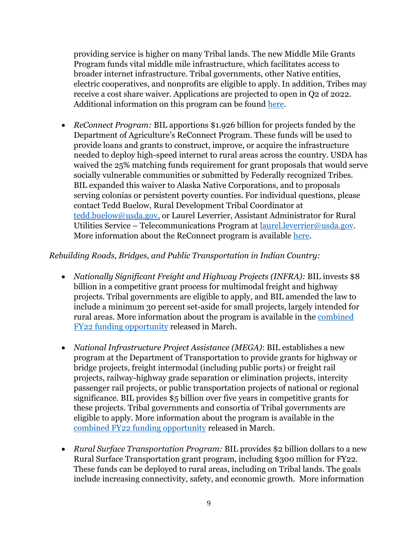providing service is higher on many Tribal lands. The new Middle Mile Grants Program funds vital middle mile infrastructure, which facilitates access to broader internet infrastructure. Tribal governments, other Native entities, electric cooperatives, and nonprofits are eligible to apply. In addition, Tribes may receive a cost share waiver. Applications are projected to open in Q2 of 2022. Additional information on this program can be found [here.](https://broadbandusa.ntia.doc.gov/resources/grant-programs/enabling-middle-mile-broadband-infrastructure-program)

• *ReConnect Program:* BIL apportions \$1.926 billion for projects funded by the Department of Agriculture's ReConnect Program. These funds will be used to provide loans and grants to construct, improve, or acquire the infrastructure needed to deploy high-speed internet to rural areas across the country. USDA has waived the 25% matching funds requirement for grant proposals that would serve socially vulnerable communities or submitted by Federally recognized Tribes. BIL expanded this waiver to Alaska Native Corporations, and to proposals serving colonias or persistent poverty counties. For individual questions, please contact Tedd Buelow, Rural Development Tribal Coordinator at [tedd.buelow@usda.gov,](mailto:tedd.buelow@usda.gov) or Laurel Leverrier, Assistant Administrator for Rural Utilities Service – Telecommunications Program at [laurel.leverrier@usda.gov.](mailto:laurel.leverrier@usda.gov) More information about the ReConnect program is available [here.](https://www.usda.gov/reconnect)

### *Rebuilding Roads, Bridges, and Public Transportation in Indian Country:*

- *Nationally Significant Freight and Highway Projects (INFRA):* BIL invests \$8 billion in a competitive grant process for multimodal freight and highway projects. Tribal governments are eligible to apply, and BIL amended the law to include a minimum 30 percent set-aside for small projects, largely intended for rural areas. More information about the program is available in the [combined](https://www.transportation.gov/briefing-room/president-biden-us-dot-announce-29-billion-bipartisan-infrastructure-law-funding)  [FY22 funding opportunity](https://www.transportation.gov/briefing-room/president-biden-us-dot-announce-29-billion-bipartisan-infrastructure-law-funding) released in March.
- *National Infrastructure Project Assistance (MEGA)*: BIL establishes a new program at the Department of Transportation to provide grants for highway or bridge projects, freight intermodal (including public ports) or freight rail projects, railway-highway grade separation or elimination projects, intercity passenger rail projects, or public transportation projects of national or regional significance. BIL provides \$5 billion over five years in competitive grants for these projects. Tribal governments and consortia of Tribal governments are eligible to apply. More information about the program is available in the combined FY22 [funding opportunity](https://www.transportation.gov/briefing-room/president-biden-us-dot-announce-29-billion-bipartisan-infrastructure-law-funding) released in March.
- *Rural Surface Transportation Program:* BIL provides \$2 billion dollars to a new Rural Surface Transportation grant program, including \$300 million for FY22. These funds can be deployed to rural areas, including on Tribal lands. The goals include increasing connectivity, safety, and economic growth. More information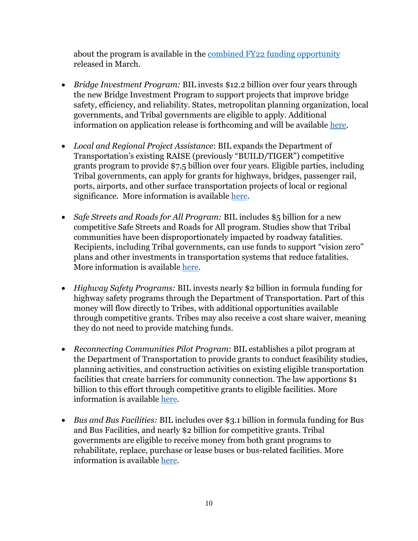about the program is available in the combined FY22 [funding opportunity](https://www.transportation.gov/briefing-room/president-biden-us-dot-announce-29-billion-bipartisan-infrastructure-law-funding) released in March.

- *Bridge Investment Program:* BIL invests \$12.2 billion over four years through the new Bridge Investment Program to support projects that improve bridge safety, efficiency, and reliability. States, metropolitan planning organization, local governments, and Tribal governments are eligible to apply. Additional information on application release is forthcoming and will be available [here.](https://www.fhwa.dot.gov/bipartisan-infrastructure-law/bridges.cfm)
- *Local and Regional Project Assistance*: BIL expands the Department of Transportation's existing RAISE (previously "BUILD/TIGER") competitive grants program to provide \$7.5 billion over four years. Eligible parties, including Tribal governments, can apply for grants for highways, bridges, passenger rail, ports, airports, and other surface transportation projects of local or regional significance. More information is available [here.](https://www.transportation.gov/RAISEgrants)
- *Safe Streets and Roads for All Program:* BIL includes \$5 billion for a new competitive Safe Streets and Roads for All program. Studies show that Tribal communities have been disproportionately impacted by roadway fatalities. Recipients, including Tribal governments, can use funds to support "vision zero" plans and other investments in transportation systems that reduce fatalities. More information is available [here.](https://www.transportation.gov/SS4A)
- *Highway Safety Programs:* BIL invests nearly \$2 billion in formula funding for highway safety programs through the Department of Transportation. Part of this money will flow directly to Tribes, with additional opportunities available through competitive grants. Tribes may also receive a cost share waiver, meaning they do not need to provide matching funds.
- *Reconnecting Communities Pilot Program*: BIL establishes a pilot program at the Department of Transportation to provide grants to conduct feasibility studies, planning activities, and construction activities on existing eligible transportation facilities that create barriers for community connection. The law apportions \$1 billion to this effort through competitive grants to eligible facilities. More information is available [here.](https://www.transportation.gov/grants/reconnecting-communities)
- *Bus and Bus Facilities:* BIL includes over \$3.1 billion in formula funding for Bus and Bus Facilities, and nearly \$2 billion for competitive grants. Tribal governments are eligible to receive money from both grant programs to rehabilitate, replace, purchase or lease buses or bus-related facilities. More information is available [here.](https://www.transit.dot.gov/bus-program)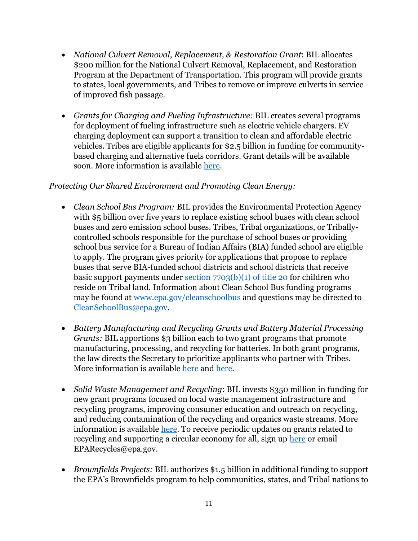- *National Culvert Removal, Replacement, & Restoration Grant*: BIL allocates \$200 million for the National Culvert Removal, Replacement, and Restoration Program at the Department of Transportation. This program will provide grants to states, local governments, and Tribes to remove or improve culverts in service of improved fish passage.
- *Grants for Charging and Fueling Infrastructure:* BIL creates several programs for deployment of fueling infrastructure such as electric vehicle chargers. EV charging deployment can support a transition to clean and affordable electric vehicles. Tribes are eligible applicants for \$2.5 billion in funding for communitybased charging and alternative fuels corridors. Grant details will be available soon. More information is available [here.](https://driveelectric.gov/)

## *Protecting Our Shared Environment and Promoting Clean Energy:*

- *Clean School Bus Program:* BIL provides the Environmental Protection Agency with \$5 billion over five years to replace existing school buses with clean school buses and zero emission school buses. Tribes, Tribal organizations, or Triballycontrolled schools responsible for the purchase of school buses or providing school bus service for a Bureau of Indian Affairs (BIA) funded school are eligible to apply. The program gives priority for applications that propose to replace buses that serve BIA-funded school districts and school districts that receive basic support payments under section  $7703(b)(1)$  of title 20 for children who reside on Tribal land. Information about Clean School Bus funding programs may be found at [www.epa.gov/cleanschoolbus](http://www.epa.gov/cleanschoolbus) and questions may be directed to [CleanSchoolBus@epa.gov.](https://www.bia.gov/bia/ots/tribal-climate-resilience-program)
- *Battery Manufacturing and Recycling Grants and Battery Material Processing Grants:* BIL apportions \$3 billion each to two grant programs that promote manufacturing, processing, and recycling for batteries. In both grant programs, the law directs the Secretary to prioritize applicants who partner with Tribes. More information is available [here](https://www.energy.gov/bil/battery-manufacturing-and-recycling-grants) and [here.](https://www.energy.gov/bil/battery-materials-processing-grants)
- *Solid Waste Management and Recycling*: BIL invests \$350 million in funding for new grant programs focused on local waste management infrastructure and recycling programs, improving consumer education and outreach on recycling, and reducing contamination of the recycling and organics waste streams. More information is available [here.](https://www.epa.gov/infrastructure/cleanup-revitalization-and-recycling-investments) To receive periodic updates on grants related to recycling and supporting a circular economy for all, sign up [here](https://www.epa.gov/recyclingstrategy/forms/stay-connected) or email EPARecycles@epa.gov.
- *Brownfields Projects:* BIL authorizes \$1.5 billion in additional funding to support the EPA's Brownfields program to help communities, states, and Tribal nations to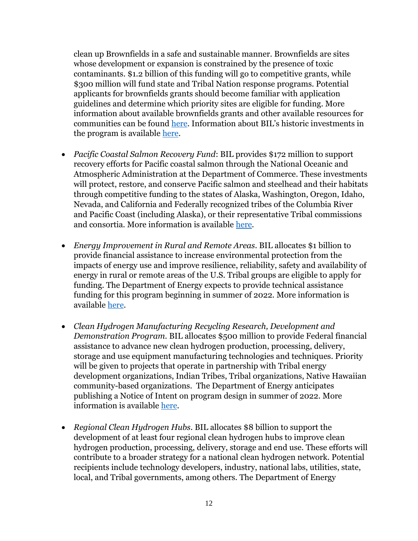clean up Brownfields in a safe and sustainable manner. Brownfields are sites whose development or expansion is constrained by the presence of toxic contaminants. \$1.2 billion of this funding will go to competitive grants, while \$300 million will fund state and Tribal Nation response programs. Potential applicants for brownfields grants should become familiar with application guidelines and determine which priority sites are eligible for funding. More information about available brownfields grants and other available resources for communities can be found [here.](https://www.epa.gov/brownfields/overview-epas-brownfields-program) Information about BIL's historic investments in the program is available [here.](https://www.epa.gov/brownfields/bipartisan-infrastructure-law-historic-investment-brownfields)

- *Pacific Coastal Salmon Recovery Fund*: BIL provides \$172 million to support recovery efforts for Pacific coastal salmon through the National Oceanic and Atmospheric Administration at the Department of Commerce. These investments will protect, restore, and conserve Pacific salmon and steelhead and their habitats through competitive funding to the states of Alaska, Washington, Oregon, Idaho, Nevada, and California and Federally recognized tribes of the Columbia River and Pacific Coast (including Alaska), or their representative Tribal commissions and consortia. More information is available [here.](https://www.fisheries.noaa.gov/grant/pacific-coastal-salmon-recovery-fund)
- *Energy Improvement in Rural and Remote Areas*. BIL allocates \$1 billion to provide financial assistance to increase environmental protection from the impacts of energy use and improve resilience, reliability, safety and availability of energy in rural or remote areas of the U.S. Tribal groups are eligible to apply for funding. The Department of Energy expects to provide technical assistance funding for this program beginning in summer of 2022. More information is available [here.](https://www.energy.gov/bil/energy-improvement-rural-or-remote-areas)
- *Clean Hydrogen Manufacturing Recycling Research, Development and Demonstration Program.* BIL allocates \$500 million to provide Federal financial assistance to advance new clean hydrogen production, processing, delivery, storage and use equipment manufacturing technologies and techniques. Priority will be given to projects that operate in partnership with Tribal energy development organizations, Indian Tribes, Tribal organizations, Native Hawaiian community-based organizations. The Department of Energy anticipates publishing a Notice of Intent on program design in summer of 2022. More information is available [here.](https://www.energy.gov/bil/clean-hydrogen-manufacturing-recycling)
- *Regional Clean Hydrogen Hubs*. BIL allocates \$8 billion to support the development of at least four regional clean hydrogen hubs to improve clean hydrogen production, processing, delivery, storage and end use. These efforts will contribute to a broader strategy for a national clean hydrogen network. Potential recipients include technology developers, industry, national labs, utilities, state, local, and Tribal governments, among others. The Department of Energy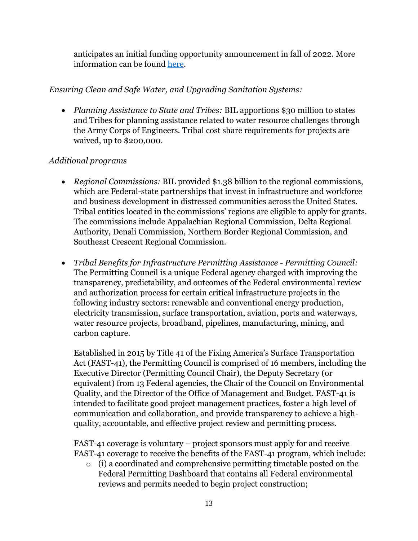anticipates an initial funding opportunity announcement in fall of 2022. More information can be found [here.](https://www.energy.gov/bil/regional-clean-hydrogen-hubs)

## *Ensuring Clean and Safe Water, and Upgrading Sanitation Systems:*

• *Planning Assistance to State and Tribes:* BIL apportions \$30 million to states and Tribes for planning assistance related to water resource challenges through the Army Corps of Engineers. Tribal cost share requirements for projects are waived, up to \$200,000.

# *Additional programs*

- *Regional Commissions:* BIL provided \$1.38 billion to the regional commissions, which are Federal-state partnerships that invest in infrastructure and workforce and business development in distressed communities across the United States. Tribal entities located in the commissions' regions are eligible to apply for grants. The commissions include Appalachian Regional Commission, Delta Regional Authority, Denali Commission, Northern Border Regional Commission, and Southeast Crescent Regional Commission.
- *Tribal Benefits for Infrastructure Permitting Assistance - Permitting Council:*  The Permitting Council is a unique Federal agency charged with improving the transparency, predictability, and outcomes of the Federal environmental review and authorization process for certain critical infrastructure projects in the following industry sectors: renewable and conventional energy production, electricity transmission, surface transportation, aviation, ports and waterways, water resource projects, broadband, pipelines, manufacturing, mining, and carbon capture.

Established in 2015 by Title 41 of the Fixing America's Surface Transportation Act (FAST-41), the Permitting Council is comprised of 16 members, including the Executive Director (Permitting Council Chair), the Deputy Secretary (or equivalent) from 13 Federal agencies, the Chair of the Council on Environmental Quality, and the Director of the Office of Management and Budget. FAST-41 is intended to facilitate good project management practices, foster a high level of communication and collaboration, and provide transparency to achieve a highquality, accountable, and effective project review and permitting process.

FAST-41 coverage is voluntary – project sponsors must apply for and receive FAST-41 coverage to receive the benefits of the FAST-41 program, which include:

o (i) a coordinated and comprehensive permitting timetable posted on the Federal Permitting Dashboard that contains all Federal environmental reviews and permits needed to begin project construction;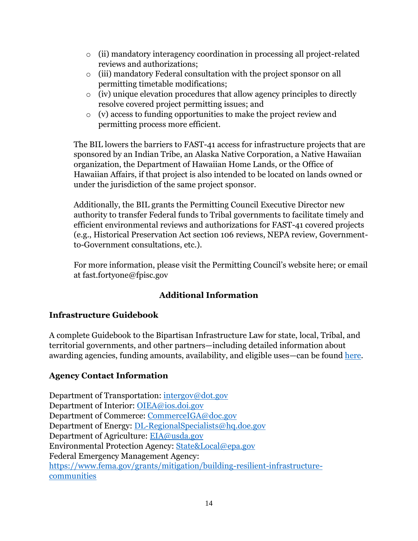- o (ii) mandatory interagency coordination in processing all project-related reviews and authorizations;
- o (iii) mandatory Federal consultation with the project sponsor on all permitting timetable modifications;
- $\circ$  (iv) unique elevation procedures that allow agency principles to directly resolve covered project permitting issues; and
- o (v) access to funding opportunities to make the project review and permitting process more efficient.

The BIL lowers the barriers to FAST-41 access for infrastructure projects that are sponsored by an Indian Tribe, an Alaska Native Corporation, a Native Hawaiian organization, the Department of Hawaiian Home Lands, or the Office of Hawaiian Affairs, if that project is also intended to be located on lands owned or under the jurisdiction of the same project sponsor.

Additionally, the BIL grants the Permitting Council Executive Director new authority to transfer Federal funds to Tribal governments to facilitate timely and efficient environmental reviews and authorizations for FAST-41 covered projects (e.g., Historical Preservation Act section 106 reviews, NEPA review, Governmentto-Government consultations, etc.).

For more information, please visit the Permitting Council's website here; or email at fast.fortyone@fpisc.gov

# **Additional Information**

## **Infrastructure Guidebook**

A complete Guidebook to the Bipartisan Infrastructure Law for state, local, Tribal, and territorial governments, and other partners—including detailed information about awarding agencies, funding amounts, availability, and eligible uses—can be found [here.](https://www.whitehouse.gov/wp-content/uploads/2022/01/BUILDING-A-BETTER-AMERICA_FINAL.pdf)

## **Agency Contact Information**

Department of Transportation: [intergov@dot.gov](mailto:intergov@dot.gov) Department of Interior: [OIEA@ios.doi.gov](mailto:OIEA@ios.doi.gov) Department of Commerce: [CommerceIGA@doc.gov](mailto:CommerceIGA@doc.gov) Department of Energy: [DL-RegionalSpecialists@hq.doe.gov](mailto:DL-RegionalSpecialists@hq.doe.gov) Department of Agriculture: [EIA@usda.gov](mailto:EIA@usda.gov) Environmental Protection Agency: [State&Local@epa.gov](mailto:State&Local@epa.gov) Federal Emergency Management Agency: [https://www.fema.gov/grants/mitigation/building-resilient-infrastructure](https://www.fema.gov/grants/mitigation/building-resilient-infrastructure-communities)[communities](https://www.fema.gov/grants/mitigation/building-resilient-infrastructure-communities)